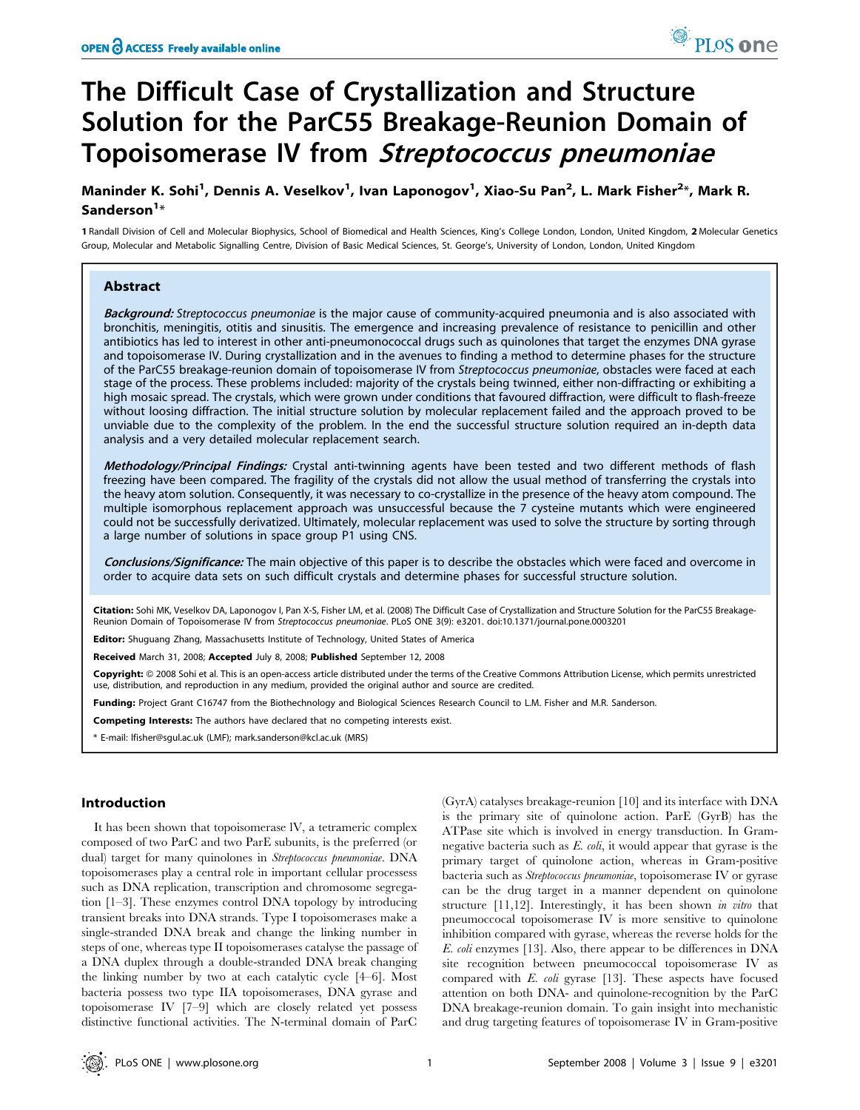# The Difficult Case of Crystallization and Structure Solution for the ParC55 Breakage-Reunion Domain of Topoisomerase IV from Streptococcus pneumoniae

# Maninder K. Sohi<sup>1</sup>, Dennis A. Veselkov<sup>1</sup>, Ivan Laponogov<sup>1</sup>, Xiao-Su Pan<sup>2</sup>, L. Mark Fisher<sup>2</sup>\*, Mark R. Sanderson $1*$

1 Randall Division of Cell and Molecular Biophysics, School of Biomedical and Health Sciences, King's College London, London, United Kingdom, 2 Molecular Genetics Group, Molecular and Metabolic Signalling Centre, Division of Basic Medical Sciences, St. George's, University of London, London, United Kingdom

# Abstract

Background: Streptococcus pneumoniae is the major cause of community-acquired pneumonia and is also associated with bronchitis, meningitis, otitis and sinusitis. The emergence and increasing prevalence of resistance to penicillin and other antibiotics has led to interest in other anti-pneumonococcal drugs such as quinolones that target the enzymes DNA gyrase and topoisomerase IV. During crystallization and in the avenues to finding a method to determine phases for the structure of the ParC55 breakage-reunion domain of topoisomerase IV from Streptococcus pneumoniae, obstacles were faced at each stage of the process. These problems included: majority of the crystals being twinned, either non-diffracting or exhibiting a high mosaic spread. The crystals, which were grown under conditions that favoured diffraction, were difficult to flash-freeze without loosing diffraction. The initial structure solution by molecular replacement failed and the approach proved to be unviable due to the complexity of the problem. In the end the successful structure solution required an in-depth data analysis and a very detailed molecular replacement search.

Methodology/Principal Findings: Crystal anti-twinning agents have been tested and two different methods of flash freezing have been compared. The fragility of the crystals did not allow the usual method of transferring the crystals into the heavy atom solution. Consequently, it was necessary to co-crystallize in the presence of the heavy atom compound. The multiple isomorphous replacement approach was unsuccessful because the 7 cysteine mutants which were engineered could not be successfully derivatized. Ultimately, molecular replacement was used to solve the structure by sorting through a large number of solutions in space group P1 using CNS.

Conclusions/Significance: The main objective of this paper is to describe the obstacles which were faced and overcome in order to acquire data sets on such difficult crystals and determine phases for successful structure solution.

Citation: Sohi MK, Veselkov DA, Laponogov I, Pan X-S, Fisher LM, et al. (2008) The Difficult Case of Crystallization and Structure Solution for the ParC55 Breakage-Reunion Domain of Topoisomerase IV from Streptococcus pneumoniae. PLoS ONE 3(9): e3201. doi:10.1371/journal.pone.0003201

Editor: Shuguang Zhang, Massachusetts Institute of Technology, United States of America

Received March 31, 2008; Accepted July 8, 2008; Published September 12, 2008

Copyright: © 2008 Sohi et al. This is an open-access article distributed under the terms of the Creative Commons Attribution License, which permits unrestricted use, distribution, and reproduction in any medium, provided the original author and source are credited.

Funding: Project Grant C16747 from the Biothechnology and Biological Sciences Research Council to L.M. Fisher and M.R. Sanderson.

Competing Interests: The authors have declared that no competing interests exist.

\* E-mail: lfisher@sgul.ac.uk (LMF); mark.sanderson@kcl.ac.uk (MRS)

#### Introduction

It has been shown that topoisomerase lV, a tetrameric complex composed of two ParC and two ParE subunits, is the preferred (or dual) target for many quinolones in Streptococcus pneumoniae. DNA topoisomerases play a central role in important cellular processess such as DNA replication, transcription and chromosome segregation [1–3]. These enzymes control DNA topology by introducing transient breaks into DNA strands. Type I topoisomerases make a single-stranded DNA break and change the linking number in steps of one, whereas type II topoisomerases catalyse the passage of a DNA duplex through a double-stranded DNA break changing the linking number by two at each catalytic cycle [4–6]. Most bacteria possess two type IIA topoisomerases, DNA gyrase and topoisomerase IV [7–9] which are closely related yet possess distinctive functional activities. The N-terminal domain of ParC

(GyrA) catalyses breakage-reunion [10] and its interface with DNA is the primary site of quinolone action. ParE (GyrB) has the ATPase site which is involved in energy transduction. In Gramnegative bacteria such as  $E.$  coli, it would appear that gyrase is the primary target of quinolone action, whereas in Gram-positive bacteria such as Streptococcus pneumoniae, topoisomerase IV or gyrase can be the drug target in a manner dependent on quinolone structure [11,12]. Interestingly, it has been shown in vitro that pneumoccocal topoisomerase IV is more sensitive to quinolone inhibition compared with gyrase, whereas the reverse holds for the E. coli enzymes [13]. Also, there appear to be differences in DNA site recognition between pneumococcal topoisomerase IV as compared with E. coli gyrase [13]. These aspects have focused attention on both DNA- and quinolone-recognition by the ParC DNA breakage-reunion domain. To gain insight into mechanistic and drug targeting features of topoisomerase IV in Gram-positive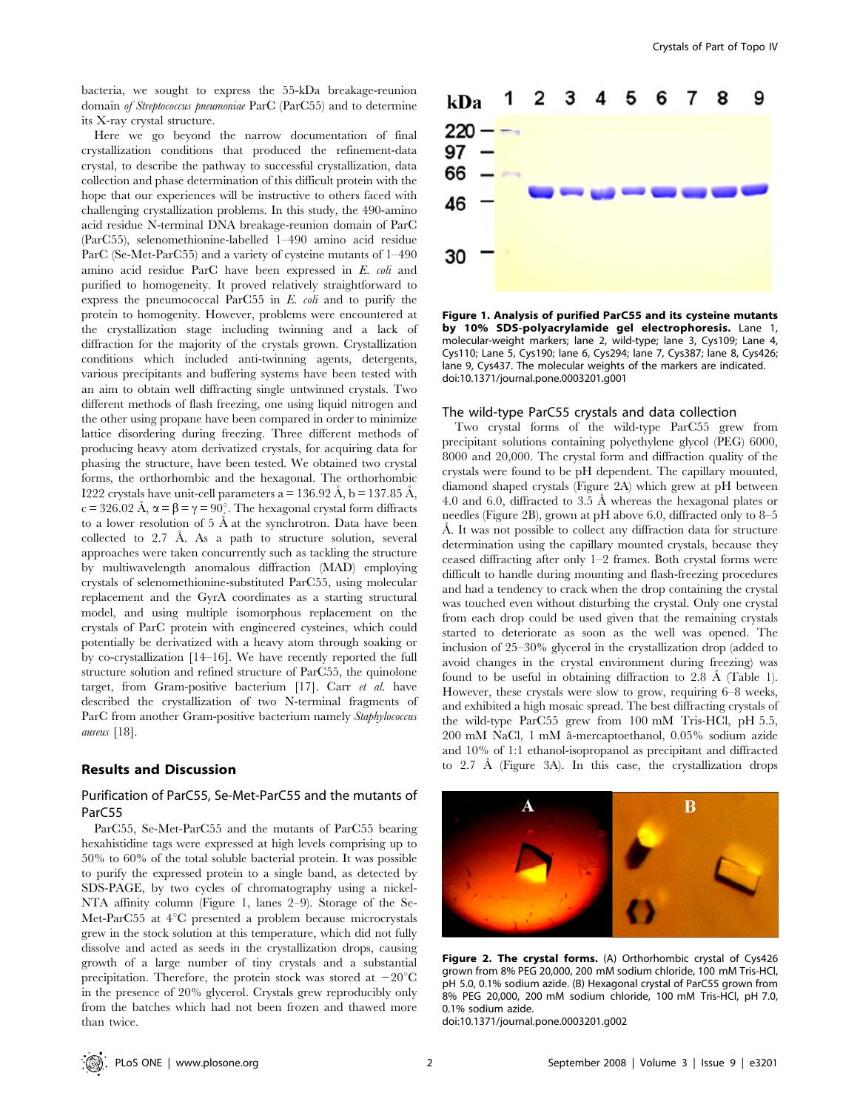bacteria, we sought to express the 55-kDa breakage-reunion domain of Streptococcus pneumoniae ParC (ParC55) and to determine its X-ray crystal structure.

Here we go beyond the narrow documentation of final crystallization conditions that produced the refinement-data crystal, to describe the pathway to successful crystallization, data collection and phase determination of this difficult protein with the hope that our experiences will be instructive to others faced with challenging crystallization problems. In this study, the 490-amino acid residue N-terminal DNA breakage-reunion domain of ParC (ParC55), selenomethionine-labelled 1–490 amino acid residue ParC (Se-Met-ParC55) and a variety of cysteine mutants of 1–490 amino acid residue ParC have been expressed in E. coli and purified to homogeneity. It proved relatively straightforward to express the pneumococcal ParC55 in E. coli and to purify the protein to homogenity. However, problems were encountered at the crystallization stage including twinning and a lack of diffraction for the majority of the crystals grown. Crystallization conditions which included anti-twinning agents, detergents, various precipitants and buffering systems have been tested with an aim to obtain well diffracting single untwinned crystals. Two different methods of flash freezing, one using liquid nitrogen and the other using propane have been compared in order to minimize lattice disordering during freezing. Three different methods of producing heavy atom derivatized crystals, for acquiring data for phasing the structure, have been tested. We obtained two crystal forms, the orthorhombic and the hexagonal. The orthorhombic I222 crystals have unit-cell parameters  $a = 136.92 \text{ Å}, b = 137.85 \text{ Å},$ c = 326.02 Å,  $\alpha = \beta = \gamma = 90^\circ$ . The hexagonal crystal form diffracts to a lower resolution of  $5 \text{ Å}$  at the synchrotron. Data have been collected to  $2.7$  Å. As a path to structure solution, several approaches were taken concurrently such as tackling the structure by multiwavelength anomalous diffraction (MAD) employing crystals of selenomethionine-substituted ParC55, using molecular replacement and the GyrA coordinates as a starting structural model, and using multiple isomorphous replacement on the crystals of ParC protein with engineered cysteines, which could potentially be derivatized with a heavy atom through soaking or by co-crystallization [14–16]. We have recently reported the full structure solution and refined structure of ParC55, the quinolone target, from Gram-positive bacterium [17]. Carr et al. have described the crystallization of two N-terminal fragments of ParC from another Gram-positive bacterium namely Staphylococcus aureus [18].

#### Results and Discussion

# Purification of ParC55, Se-Met-ParC55 and the mutants of ParC55

ParC55, Se-Met-ParC55 and the mutants of ParC55 bearing hexahistidine tags were expressed at high levels comprising up to 50% to 60% of the total soluble bacterial protein. It was possible to purify the expressed protein to a single band, as detected by SDS-PAGE, by two cycles of chromatography using a nickel-NTA affinity column (Figure 1, lanes 2–9). Storage of the Se-Met-ParC55 at  $4^{\circ}$ C presented a problem because microcrystals grew in the stock solution at this temperature, which did not fully dissolve and acted as seeds in the crystallization drops, causing growth of a large number of tiny crystals and a substantial precipitation. Therefore, the protein stock was stored at  $-20^{\circ}$ C in the presence of 20% glycerol. Crystals grew reproducibly only from the batches which had not been frozen and thawed more than twice.



Figure 1. Analysis of purified ParC55 and its cysteine mutants by 10% SDS-polyacrylamide gel electrophoresis. Lane 1, molecular-weight markers; lane 2, wild-type; lane 3, Cys109; Lane 4, Cys110; Lane 5, Cys190; lane 6, Cys294; lane 7, Cys387; lane 8, Cys426; lane 9, Cys437. The molecular weights of the markers are indicated. doi:10.1371/journal.pone.0003201.g001

#### The wild-type ParC55 crystals and data collection

Two crystal forms of the wild-type ParC55 grew from precipitant solutions containing polyethylene glycol (PEG) 6000, 8000 and 20,000. The crystal form and diffraction quality of the crystals were found to be pH dependent. The capillary mounted, diamond shaped crystals (Figure 2A) which grew at pH between 4.0 and 6.0, diffracted to 3.5  $\AA$  whereas the hexagonal plates or needles (Figure 2B), grown at pH above 6.0, diffracted only to 8–5 A. It was not possible to collect any diffraction data for structure determination using the capillary mounted crystals, because they ceased diffracting after only 1–2 frames. Both crystal forms were difficult to handle during mounting and flash-freezing procedures and had a tendency to crack when the drop containing the crystal was touched even without disturbing the crystal. Only one crystal from each drop could be used given that the remaining crystals started to deteriorate as soon as the well was opened. The inclusion of 25–30% glycerol in the crystallization drop (added to avoid changes in the crystal environment during freezing) was found to be useful in obtaining diffraction to 2.8  $\AA$  (Table 1). However, these crystals were slow to grow, requiring 6–8 weeks, and exhibited a high mosaic spread. The best diffracting crystals of the wild-type ParC55 grew from 100 mM Tris-HCl, pH 5.5, 200 mM NaCl, 1 mM aˆ-mercaptoethanol, 0.05% sodium azide and 10% of 1:1 ethanol-isopropanol as precipitant and diffracted to 2.7 Å (Figure 3A). In this case, the crystallization drops



Figure 2. The crystal forms. (A) Orthorhombic crystal of Cys426 grown from 8% PEG 20,000, 200 mM sodium chloride, 100 mM Tris-HCl, pH 5.0, 0.1% sodium azide. (B) Hexagonal crystal of ParC55 grown from 8% PEG 20,000, 200 mM sodium chloride, 100 mM Tris-HCl, pH 7.0, 0.1% sodium azide.

doi:10.1371/journal.pone.0003201.g002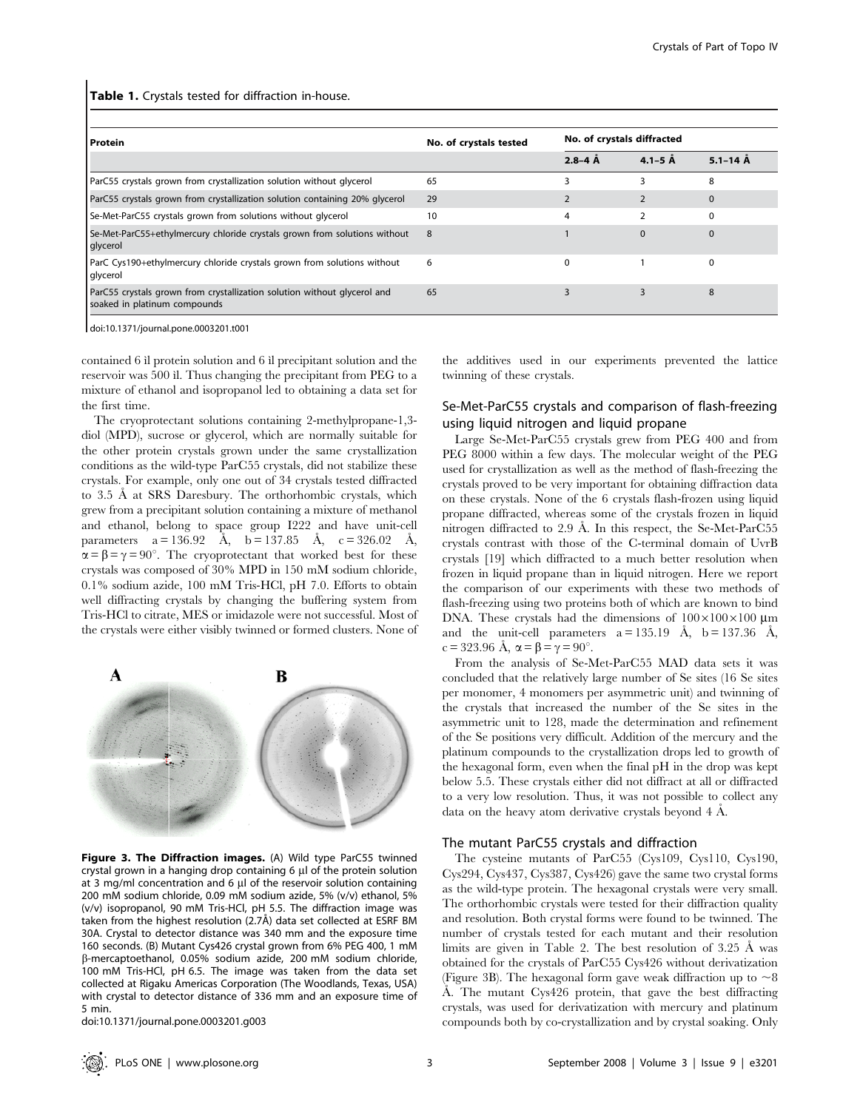Table 1. Crystals tested for diffraction in-house.

| l Protein                                                                                                | No. of crystals tested | No. of crystals diffracted |             |              |  |  |
|----------------------------------------------------------------------------------------------------------|------------------------|----------------------------|-------------|--------------|--|--|
|                                                                                                          |                        | $2.8 - 4$ $\AA$            | $4.1 - 5$ Å | $5.1 - 14$ Å |  |  |
| ParC55 crystals grown from crystallization solution without glycerol                                     | 65                     |                            |             | 8            |  |  |
| ParC55 crystals grown from crystallization solution containing 20% glycerol                              | 29                     |                            |             | $\Omega$     |  |  |
| Se-Met-ParC55 crystals grown from solutions without glycerol                                             | 10                     | 4                          |             | $\Omega$     |  |  |
| Se-Met-ParC55+ethylmercury chloride crystals grown from solutions without<br>glycerol                    | 8                      |                            | $\Omega$    | $\Omega$     |  |  |
| ParC Cys190+ethylmercury chloride crystals grown from solutions without<br>glycerol                      | 6                      | $\Omega$                   |             | 0            |  |  |
| ParC55 crystals grown from crystallization solution without glycerol and<br>soaked in platinum compounds | 65                     |                            |             | 8            |  |  |

doi:10.1371/journal.pone.0003201.t001

contained 6 il protein solution and 6 il precipitant solution and the reservoir was 500 il. Thus changing the precipitant from PEG to a mixture of ethanol and isopropanol led to obtaining a data set for the first time.

The cryoprotectant solutions containing 2-methylpropane-1,3 diol (MPD), sucrose or glycerol, which are normally suitable for the other protein crystals grown under the same crystallization conditions as the wild-type ParC55 crystals, did not stabilize these crystals. For example, only one out of 34 crystals tested diffracted to 3.5 Å at SRS Daresbury. The orthorhombic crystals, which grew from a precipitant solution containing a mixture of methanol and ethanol, belong to space group I222 and have unit-cell parameters  $a = 136.92$  Å,  $b = 137.85$  Å,  $c = 326.02$  Å,  $\alpha = \beta = \gamma = 90^{\circ}$ . The cryoprotectant that worked best for these crystals was composed of 30% MPD in 150 mM sodium chloride, 0.1% sodium azide, 100 mM Tris-HCl, pH 7.0. Efforts to obtain well diffracting crystals by changing the buffering system from Tris-HCl to citrate, MES or imidazole were not successful. Most of the crystals were either visibly twinned or formed clusters. None of



Figure 3. The Diffraction images. (A) Wild type ParC55 twinned crystal grown in a hanging drop containing 6 µl of the protein solution at 3 mg/ml concentration and 6 µl of the reservoir solution containing 200 mM sodium chloride, 0.09 mM sodium azide, 5% (v/v) ethanol, 5% (v/v) isopropanol, 90 mM Tris-HCl, pH 5.5. The diffraction image was taken from the highest resolution (2.7Å) data set collected at ESRF BM 30A. Crystal to detector distance was 340 mm and the exposure time 160 seconds. (B) Mutant Cys426 crystal grown from 6% PEG 400, 1 mM b-mercaptoethanol, 0.05% sodium azide, 200 mM sodium chloride, 100 mM Tris-HCl, pH 6.5. The image was taken from the data set collected at Rigaku Americas Corporation (The Woodlands, Texas, USA) with crystal to detector distance of 336 mm and an exposure time of 5 min.

doi:10.1371/journal.pone.0003201.g003

the additives used in our experiments prevented the lattice twinning of these crystals.

# Se-Met-ParC55 crystals and comparison of flash-freezing using liquid nitrogen and liquid propane

Large Se-Met-ParC55 crystals grew from PEG 400 and from PEG 8000 within a few days. The molecular weight of the PEG used for crystallization as well as the method of flash-freezing the crystals proved to be very important for obtaining diffraction data on these crystals. None of the 6 crystals flash-frozen using liquid propane diffracted, whereas some of the crystals frozen in liquid nitrogen diffracted to  $2.9 \text{ Å}$ . In this respect, the Se-Met-ParC55 crystals contrast with those of the C-terminal domain of UvrB crystals [19] which diffracted to a much better resolution when frozen in liquid propane than in liquid nitrogen. Here we report the comparison of our experiments with these two methods of flash-freezing using two proteins both of which are known to bind DNA. These crystals had the dimensions of  $100\times100\times100$  um and the unit-cell parameters  $a = 135.19$  Å,  $b = 137.36$  Å, c = 323.96 Å,  $\alpha = \beta = \gamma = 90^{\circ}$ .

From the analysis of Se-Met-ParC55 MAD data sets it was concluded that the relatively large number of Se sites (16 Se sites per monomer, 4 monomers per asymmetric unit) and twinning of the crystals that increased the number of the Se sites in the asymmetric unit to 128, made the determination and refinement of the Se positions very difficult. Addition of the mercury and the platinum compounds to the crystallization drops led to growth of the hexagonal form, even when the final pH in the drop was kept below 5.5. These crystals either did not diffract at all or diffracted to a very low resolution. Thus, it was not possible to collect any data on the heavy atom derivative crystals beyond 4 Å.

#### The mutant ParC55 crystals and diffraction

The cysteine mutants of ParC55 (Cys109, Cys110, Cys190, Cys294, Cys437, Cys387, Cys426) gave the same two crystal forms as the wild-type protein. The hexagonal crystals were very small. The orthorhombic crystals were tested for their diffraction quality and resolution. Both crystal forms were found to be twinned. The number of crystals tested for each mutant and their resolution limits are given in Table 2. The best resolution of  $3.25$  Å was obtained for the crystals of ParC55 Cys426 without derivatization (Figure 3B). The hexagonal form gave weak diffraction up to  $\sim 8$ Å. The mutant Cys426 protein, that gave the best diffracting crystals, was used for derivatization with mercury and platinum compounds both by co-crystallization and by crystal soaking. Only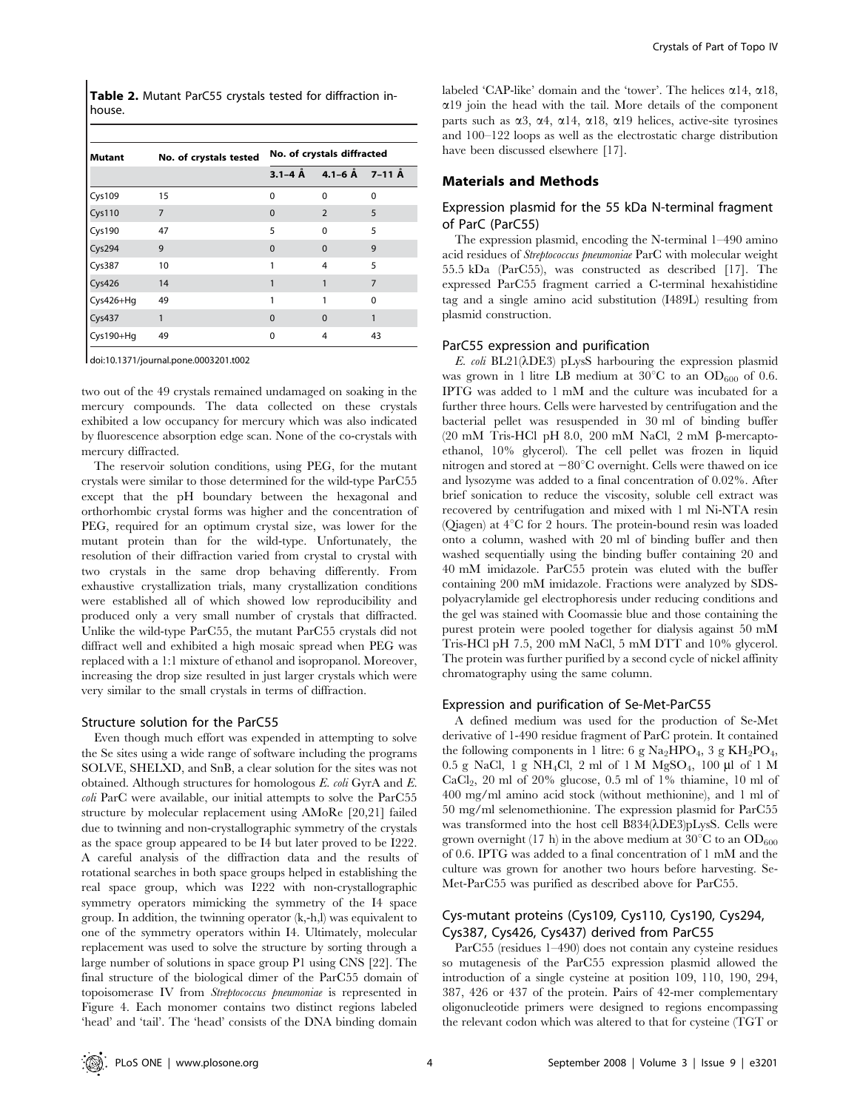Table 2. Mutant ParC55 crystals tested for diffraction inhouse.

| <b>Mutant</b> | No. of crystals tested | No. of crystals diffracted |                                    |          |  |
|---------------|------------------------|----------------------------|------------------------------------|----------|--|
|               |                        |                            | $3.1 - 4$ Å $4.1 - 6$ Å $7 - 11$ Å |          |  |
| Cys109        | 15                     | 0                          | $\Omega$                           | $\Omega$ |  |
| <b>Cys110</b> | $\overline{7}$         | 0                          | $\overline{2}$                     | 5        |  |
| Cys190        | 47                     | 5                          | $\Omega$                           | 5        |  |
| Cys294        | 9                      | $\Omega$                   | $\Omega$                           | 9        |  |
| Cys387        | 10                     | 1                          | 4                                  | 5        |  |
| Cys426        | 14                     |                            |                                    | 7        |  |
| Cys426+Hg     | 49                     | 1                          |                                    | $\Omega$ |  |
| Cys437        | 1                      | $\Omega$                   | $\Omega$                           | 1        |  |
| Cys190+Hg     | 49                     | 0                          | 4                                  | 43       |  |

doi:10.1371/journal.pone.0003201.t002

two out of the 49 crystals remained undamaged on soaking in the mercury compounds. The data collected on these crystals exhibited a low occupancy for mercury which was also indicated by fluorescence absorption edge scan. None of the co-crystals with mercury diffracted.

The reservoir solution conditions, using PEG, for the mutant crystals were similar to those determined for the wild-type ParC55 except that the pH boundary between the hexagonal and orthorhombic crystal forms was higher and the concentration of PEG, required for an optimum crystal size, was lower for the mutant protein than for the wild-type. Unfortunately, the resolution of their diffraction varied from crystal to crystal with two crystals in the same drop behaving differently. From exhaustive crystallization trials, many crystallization conditions were established all of which showed low reproducibility and produced only a very small number of crystals that diffracted. Unlike the wild-type ParC55, the mutant ParC55 crystals did not diffract well and exhibited a high mosaic spread when PEG was replaced with a 1:1 mixture of ethanol and isopropanol. Moreover, increasing the drop size resulted in just larger crystals which were very similar to the small crystals in terms of diffraction.

#### Structure solution for the ParC55

Even though much effort was expended in attempting to solve the Se sites using a wide range of software including the programs SOLVE, SHELXD, and SnB, a clear solution for the sites was not obtained. Although structures for homologous  $E$ . coli GyrA and  $E$ . coli ParC were available, our initial attempts to solve the ParC55 structure by molecular replacement using AMoRe [20,21] failed due to twinning and non-crystallographic symmetry of the crystals as the space group appeared to be I4 but later proved to be I222. A careful analysis of the diffraction data and the results of rotational searches in both space groups helped in establishing the real space group, which was I222 with non-crystallographic symmetry operators mimicking the symmetry of the I4 space group. In addition, the twinning operator (k,-h,l) was equivalent to one of the symmetry operators within I4. Ultimately, molecular replacement was used to solve the structure by sorting through a large number of solutions in space group P1 using CNS [22]. The final structure of the biological dimer of the ParC55 domain of topoisomerase IV from Streptococcus pneumoniae is represented in Figure 4. Each monomer contains two distinct regions labeled 'head' and 'tail'. The 'head' consists of the DNA binding domain labeled 'CAP-like' domain and the 'tower'. The helices  $\alpha$ 14,  $\alpha$ 18,  $\alpha$ 19 join the head with the tail. More details of the component parts such as  $\alpha$ 3,  $\alpha$ 4,  $\alpha$ 14,  $\alpha$ 18,  $\alpha$ 19 helices, active-site tyrosines and 100–122 loops as well as the electrostatic charge distribution have been discussed elsewhere [17].

## Materials and Methods

# Expression plasmid for the 55 kDa N-terminal fragment of ParC (ParC55)

The expression plasmid, encoding the N-terminal 1–490 amino acid residues of Streptococcus pneumoniae ParC with molecular weight 55.5 kDa (ParC55), was constructed as described [17]. The expressed ParC55 fragment carried a C-terminal hexahistidine tag and a single amino acid substitution (I489L) resulting from plasmid construction.

#### ParC55 expression and purification

E. coli BL21( $\lambda$ DE3) pLysS harbouring the expression plasmid was grown in 1 litre LB medium at  $30^{\circ}$ C to an OD<sub>600</sub> of 0.6. IPTG was added to 1 mM and the culture was incubated for a further three hours. Cells were harvested by centrifugation and the bacterial pellet was resuspended in 30 ml of binding buffer (20 mM Tris-HCl pH 8.0, 200 mM NaCl, 2 mM  $\beta$ -mercaptoethanol, 10% glycerol). The cell pellet was frozen in liquid nitrogen and stored at  $-80^{\circ}$ C overnight. Cells were thawed on ice and lysozyme was added to a final concentration of 0.02%. After brief sonication to reduce the viscosity, soluble cell extract was recovered by centrifugation and mixed with 1 ml Ni-NTA resin (Oiagen) at  $4^{\circ}$ C for 2 hours. The protein-bound resin was loaded onto a column, washed with 20 ml of binding buffer and then washed sequentially using the binding buffer containing 20 and 40 mM imidazole. ParC55 protein was eluted with the buffer containing 200 mM imidazole. Fractions were analyzed by SDSpolyacrylamide gel electrophoresis under reducing conditions and the gel was stained with Coomassie blue and those containing the purest protein were pooled together for dialysis against 50 mM Tris-HCl pH 7.5, 200 mM NaCl, 5 mM DTT and 10% glycerol. The protein was further purified by a second cycle of nickel affinity chromatography using the same column.

#### Expression and purification of Se-Met-ParC55

A defined medium was used for the production of Se-Met derivative of 1-490 residue fragment of ParC protein. It contained the following components in 1 litre: 6 g  $\text{Na}_2\text{HPO}_4$ , 3 g  $\text{KH}_2\text{PO}_4$ , 0.5 g NaCl, 1 g NH<sub>4</sub>Cl, 2 ml of 1 M MgSO<sub>4</sub>, 100 µl of 1 M CaCl<sub>2</sub>, 20 ml of 20% glucose, 0.5 ml of 1% thiamine, 10 ml of 400 mg/ml amino acid stock (without methionine), and 1 ml of 50 mg/ml selenomethionine. The expression plasmid for ParC55 was transformed into the host cell B834( $\lambda$ DE3)pLysS. Cells were grown overnight (17 h) in the above medium at  $30^{\circ}$ C to an OD<sub>600</sub> of 0.6. IPTG was added to a final concentration of 1 mM and the culture was grown for another two hours before harvesting. Se-Met-ParC55 was purified as described above for ParC55.

# Cys-mutant proteins (Cys109, Cys110, Cys190, Cys294, Cys387, Cys426, Cys437) derived from ParC55

ParC55 (residues 1–490) does not contain any cysteine residues so mutagenesis of the ParC55 expression plasmid allowed the introduction of a single cysteine at position 109, 110, 190, 294, 387, 426 or 437 of the protein. Pairs of 42-mer complementary oligonucleotide primers were designed to regions encompassing the relevant codon which was altered to that for cysteine (TGT or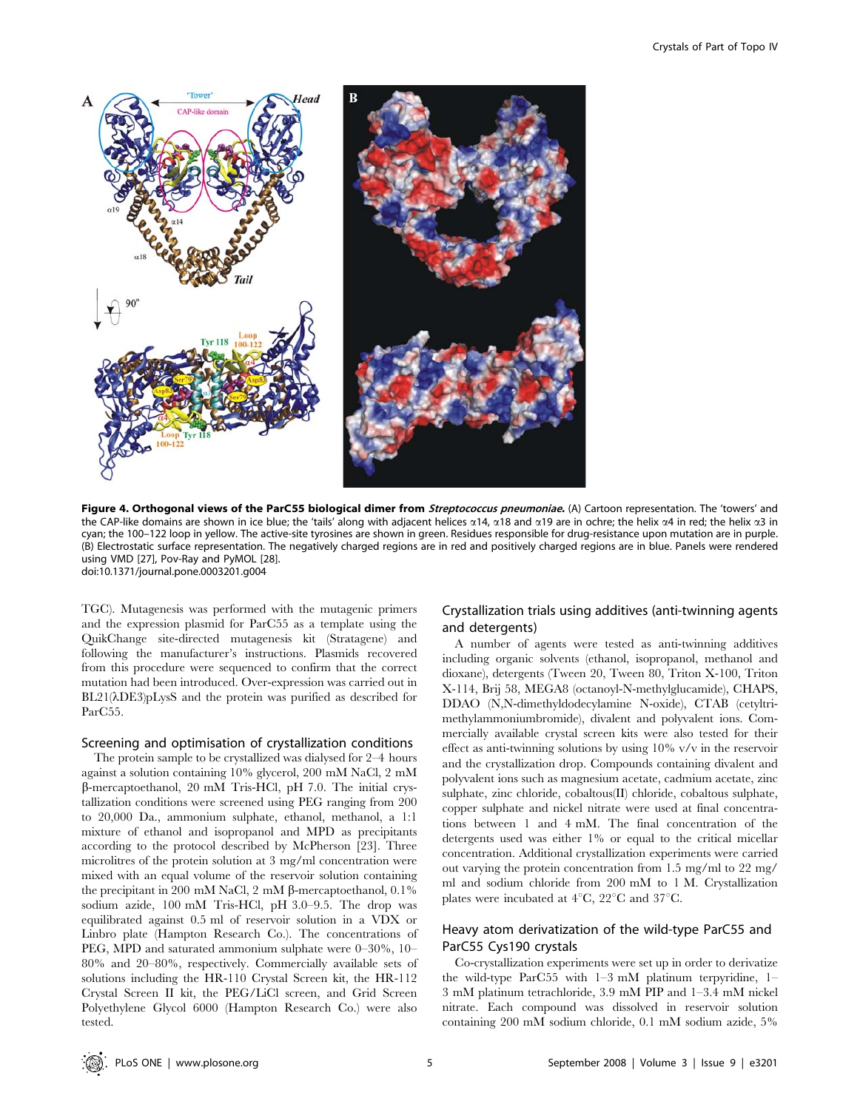

Figure 4. Orthogonal views of the ParC55 biological dimer from Streptococcus pneumoniae. (A) Cartoon representation. The 'towers' and the CAP-like domains are shown in ice blue; the 'tails' along with adjacent helices  $\alpha$ 14,  $\alpha$ 18 and  $\alpha$ 19 are in ochre; the helix  $\alpha$ 4 in red; the helix  $\alpha$ 3 in cyan; the 100–122 loop in yellow. The active-site tyrosines are shown in green. Residues responsible for drug-resistance upon mutation are in purple. (B) Electrostatic surface representation. The negatively charged regions are in red and positively charged regions are in blue. Panels were rendered using VMD [27], Pov-Ray and PyMOL [28]. doi:10.1371/journal.pone.0003201.g004

TGC). Mutagenesis was performed with the mutagenic primers and the expression plasmid for ParC55 as a template using the QuikChange site-directed mutagenesis kit (Stratagene) and following the manufacturer's instructions. Plasmids recovered from this procedure were sequenced to confirm that the correct mutation had been introduced. Over-expression was carried out in  $BL21(\lambda DE3)pLysS$  and the protein was purified as described for ParC55.

#### Screening and optimisation of crystallization conditions

The protein sample to be crystallized was dialysed for 2–4 hours against a solution containing 10% glycerol, 200 mM NaCl, 2 mM b-mercaptoethanol, 20 mM Tris-HCl, pH 7.0. The initial crystallization conditions were screened using PEG ranging from 200 to 20,000 Da., ammonium sulphate, ethanol, methanol, a 1:1 mixture of ethanol and isopropanol and MPD as precipitants according to the protocol described by McPherson [23]. Three microlitres of the protein solution at 3 mg/ml concentration were mixed with an equal volume of the reservoir solution containing the precipitant in 200 mM NaCl, 2 mM  $\beta$ -mercaptoethanol, 0.1% sodium azide, 100 mM Tris-HCl, pH 3.0–9.5. The drop was equilibrated against 0.5 ml of reservoir solution in a VDX or Linbro plate (Hampton Research Co.). The concentrations of PEG, MPD and saturated ammonium sulphate were 0–30%, 10– 80% and 20–80%, respectively. Commercially available sets of solutions including the HR-110 Crystal Screen kit, the HR-112 Crystal Screen II kit, the PEG/LiCl screen, and Grid Screen Polyethylene Glycol 6000 (Hampton Research Co.) were also tested.

# Crystallization trials using additives (anti-twinning agents and detergents)

A number of agents were tested as anti-twinning additives including organic solvents (ethanol, isopropanol, methanol and dioxane), detergents (Tween 20, Tween 80, Triton X-100, Triton X-114, Brij 58, MEGA8 (octanoyl-N-methylglucamide), CHAPS, DDAO (N,N-dimethyldodecylamine N-oxide), CTAB (cetyltrimethylammoniumbromide), divalent and polyvalent ions. Commercially available crystal screen kits were also tested for their effect as anti-twinning solutions by using 10% v/v in the reservoir and the crystallization drop. Compounds containing divalent and polyvalent ions such as magnesium acetate, cadmium acetate, zinc sulphate, zinc chloride, cobaltous(II) chloride, cobaltous sulphate, copper sulphate and nickel nitrate were used at final concentrations between 1 and 4 mM. The final concentration of the detergents used was either 1% or equal to the critical micellar concentration. Additional crystallization experiments were carried out varying the protein concentration from 1.5 mg/ml to 22 mg/ ml and sodium chloride from 200 mM to 1 M. Crystallization plates were incubated at  $4^{\circ}C$ ,  $22^{\circ}C$  and  $37^{\circ}C$ .

# Heavy atom derivatization of the wild-type ParC55 and ParC55 Cys190 crystals

Co-crystallization experiments were set up in order to derivatize the wild-type ParC55 with 1–3 mM platinum terpyridine, 1– 3 mM platinum tetrachloride, 3.9 mM PIP and 1–3.4 mM nickel nitrate. Each compound was dissolved in reservoir solution containing 200 mM sodium chloride, 0.1 mM sodium azide, 5%